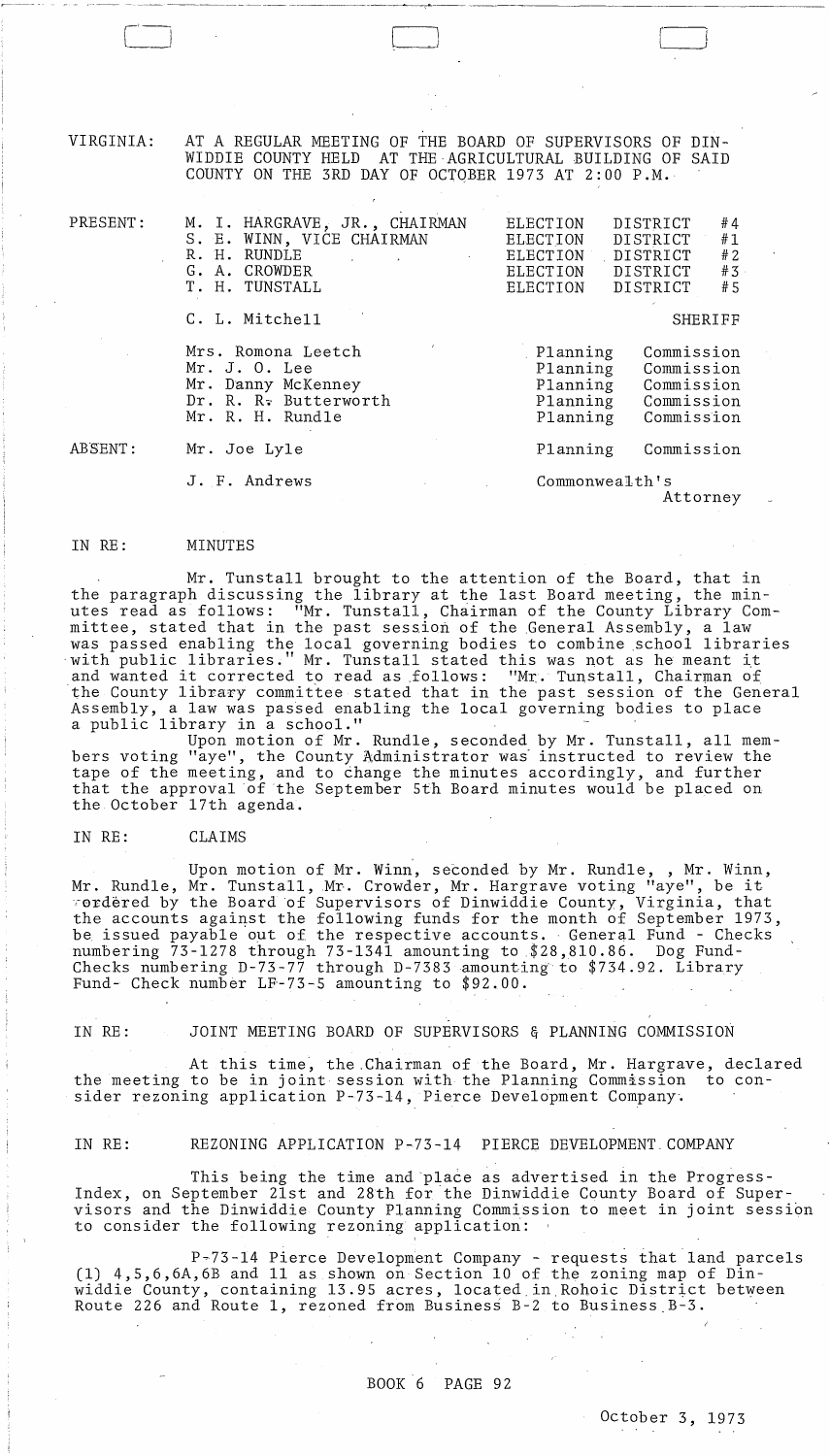VIRGINIA: AT A REGULAR MEETING OF THE BOARD OF SUPERVISORS OF DIN-WIDDIE COUNTY HELD AT THE·AGRICULTURAL BUILDING OF SAID COUNTY ON THE 3RD DAY OF OCTOBER 1973 AT 2:00 P.M.

or <del>de la completion de la completion de la</del> communicación de la completión de la completión de la completión de<br>.

 $\Box$ 

| PRESENT: | M. I. HARGRAVE, JR., CHAIRMAN<br>S. E. WINN, VICE CHAIRMAN<br>R. H. RUNDLE<br>$\mathcal{L}_{\text{max}}$ .<br>G. A. CROWDER<br>T. H. TUNSTALL | #4<br>ELECTION<br>DISTRICT<br>#1<br><b>DISTRICT</b><br>ELECTION<br>#2<br>DISTRICT<br>ELECTION<br>#3<br><b>ELECTION</b><br>DISTRICT<br><b>DISTRICT</b><br>#5<br><b>ELECTION</b> |
|----------|-----------------------------------------------------------------------------------------------------------------------------------------------|--------------------------------------------------------------------------------------------------------------------------------------------------------------------------------|
|          | C. L. Mitchell                                                                                                                                | <b>SHERIFF</b>                                                                                                                                                                 |
|          | Mrs. Romona Leetch<br>Mr. J. O. Lee<br>Mr. Danny McKenney<br>Dr. R. R. Butterworth<br>Mr. R. H. Rundle                                        | Commission<br>Planning<br>Planning<br>Commission<br>Planning<br>Commission<br>Planning<br>Commission<br>Commission<br>Planning                                                 |
| ABSENT:  | Mr. Joe Lyle                                                                                                                                  | Commission<br>Planning                                                                                                                                                         |
|          | J. F. Andrews<br><b>Contractor</b> State                                                                                                      | Commonwealth's                                                                                                                                                                 |

Attorney

#### IN RE: MINUTES

Mr. Tunstall brought to the attention of the Board, that in the paragraph discussing the library at the last Board meeting, the minutes read as follows: "Mr. Tunstall, Chairman of the County Library Committee, stated that in the past session of the General Assembly, a law was passed enabling the local governing bodies to combine school libraries with public libraries." Mr. Tunstall stated this was not as he meant it with public fibraries. Mi. Tunstall stated this was not as he meant it and wanted it corrected to read as follows: "Mr. Tunstall, Chairman of<br>the County library committee stated that in the past session of the General Assembly, a law was passed enabling the local governing bodies to place<br>a public library in a school."

Upon motion of Mr. Rundle, seconded by Mr. Tunstall, all members voting "aye", the County Administrator was' instructed to review the tape of the meeting, and to change the minutes accordingly, and further that the approval of the September 5th Board minutes would be placed on the October 17th agenda.

#### IN RE: CLAIMS

Upon motion of Mr. Winn, seconded by Mr. Rundle, , Mr. Winn, Mr. Rundle, Mr. Tunstall, Mr. Crowder, Mr. Hargrave voting "aye", be it ,-erdered by the Board of Supervisors of Dinwiddie County, Virginia, that the accounts against the following funds for the month of September 1973, be issued payable out of the respective accounts. General Fund - Checks numbering 73-1278 through 73-1341 amounting to \$28,810.86. Dog Fund-Checks numbering D-73-77 through D-7383 amounting to \$734.92. Library Fund- Check number LF-73-5 amounting to \$92.00.

IN RE: JOINT MEETING BOARD OF SUPERVISORS & PLANNING COMMISSION

At this time', the .Chairman of the Board, Mr. Hargrave, declared the meeting to be in joint session with the Planning Commission to consider rezoning application P-73-l4, Pierce Development Company'.

IN RE: REZONING APPLICATION P-73-l4 PIERCE DEVELOPMENT. COMPANY

This being the time and place as advertised in the Progress-Index, on September 21st and 28th for the Dinwiddie County Board of Supervisors and the Dinwiddie County Planning Commission to meet in joint session to consider the following rezoning applicatiori:

P~73-l4 Pierce Development Company - requests that land parcels (1)  $4, 5, 6, 6A, 6B$  and 11 as shown on Section 10 of the zoning map of Dinwiddie County, containing 13.95 acres, located in Rohoic District between Route 226 and Route 1, rezoned from Business B-2 to Business B-3.

 $\sim$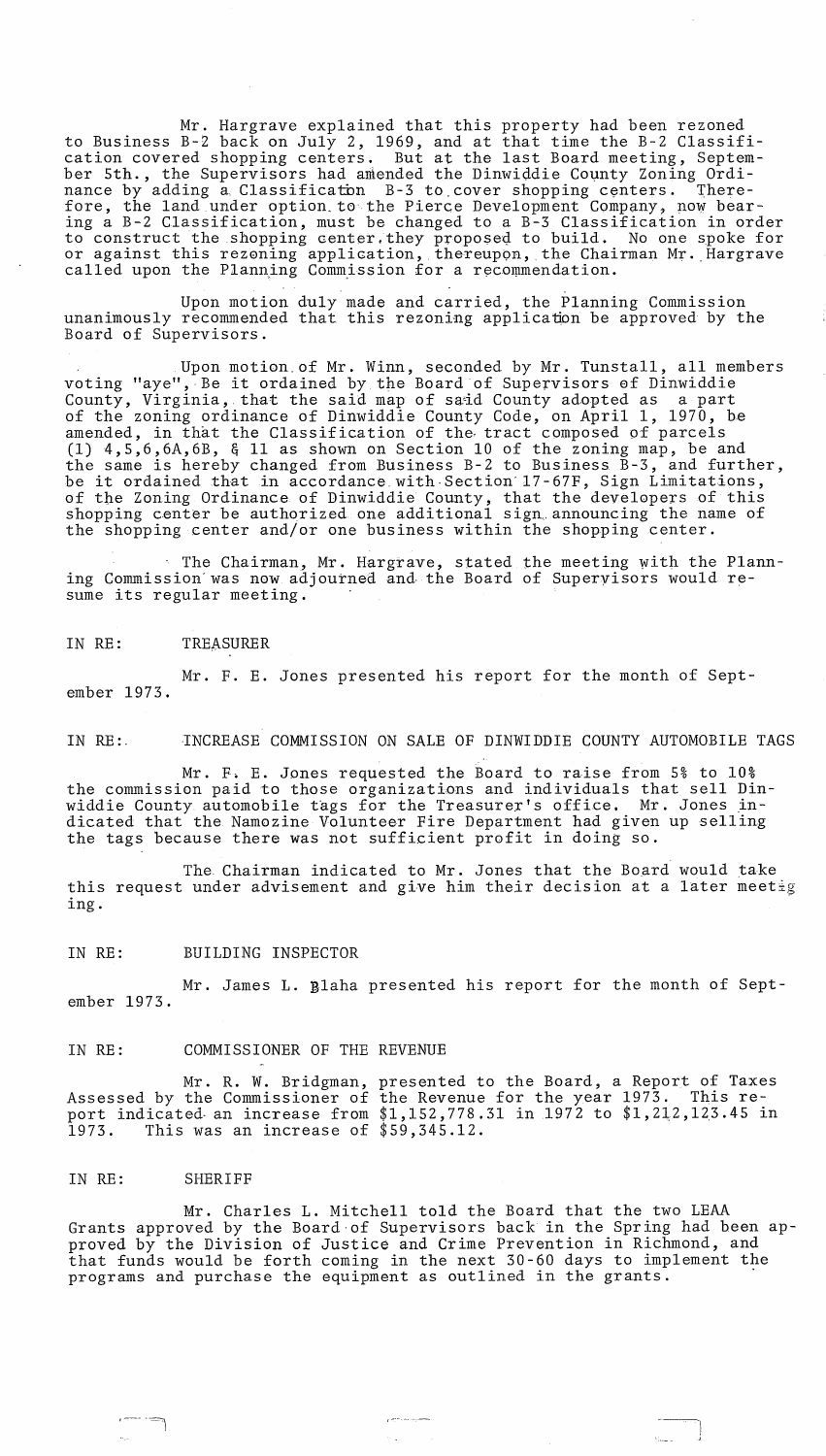Mr. Hargrave explained that this property had been rezoned to Business B-2 back on July 2, 1969, and at that time the B-2 Classification covered shopping centers. But at the last Board meeting, September 5th., the Supervisors had amended the Dinwiddie County Zoning Ordinance by adding a Classification B-3 to cover shopping centers. Therefore, the land under option. to the Pierce Development Company, now bearing a B-2 Classification, must be changed to a B-3 Classification in order to construct the shopping center. they proposeq. to build. No one spoke for or against this rezoning application, thereupon, the Chairman Mr. Hargrave called upon the Planning Commission for a recommendation.

Upon motion duly made and carried, the Planning Commission unanimously recommended that this rezoning application be approved by the Board of Supervisors.

Upon motion. of Mr. Winn, seconded by Mr. Tunstall, all members voting "aye", Be it ordained by the Board of Supervisors of Dinwiddie County, Virginia, that the said map of said County adopted as a part of the zoning ordinance of Dinwiddie County Code, on April 1, 1970, be amended, in that the Classification of the. tract composed of parcels (1) 4,5,6,6A,6B, & 11 as shown on Section 10 of the zoning map, be and the same is hereby changed from Business B-2 to Business B-3, and further, be it ordained that in accordance.with·Section'17-67F, Sign Limitations, of the Zoning Ordinance of Dinwiddie County, that the developers of this shopping center be authorized one additional sign announcing the name of the shopping center and/or one business within the shopping center.

 $\blacksquare$  The Chairman, Mr. Hargrave, stated the meeting with the Planning Commission' was now adjourned and· the Board of Supervisors would resume its regular meeting.

IN RE: TREASURER

Mr. F. E. Jones presented his report for the month of September 1973.

IN RE:. INCREASE COMMISSION ON SALE OF DINWIDDIE COUNTY AUTOMOBILE TAGS

Mr. F. E. Jones requested the Board to raise from 5% to 10% the commission paid to those organizations and individuals that sell Dinwiddie County automobile tags for the Treasurer's office. Mr. Jones indicated that the Namozine Volunteer Fire Department had given up selling the tags because there was not sufficient profit in doing so.

The Chairman indicated to Mr. Jones that the Board would take this request under advisement and give him their decision at a later meetig ing.

IN RE: BUILDING INSPECTOR

Mr. James L. Blaha presented his report for the month of September 1973.

IN RE: COMMISSIONER OF THE REVENUE

Mr. R. W. Bridgman, presented to the Board, a Report of Taxes Assessed by the Commissioner of the Revenue for the year 1973. This report indicated an increase from \$1,152,778.31 in 1972 to \$1,212,123.45 in 1973. This was an increase of \$59,345.12.

#### IN RE: SHERIFF

Mr. Charles L. Mitchell told the Board that the two LEAA Grants approved by the Board·of Supervisors back in the Spring had been approved by the Division of Justice and Crime Prevention in Richmond, and that funds would be forth coming in the next 30-60 days to implement the programs and purchase the equipment as outlined in the grants.

'----J ---I

J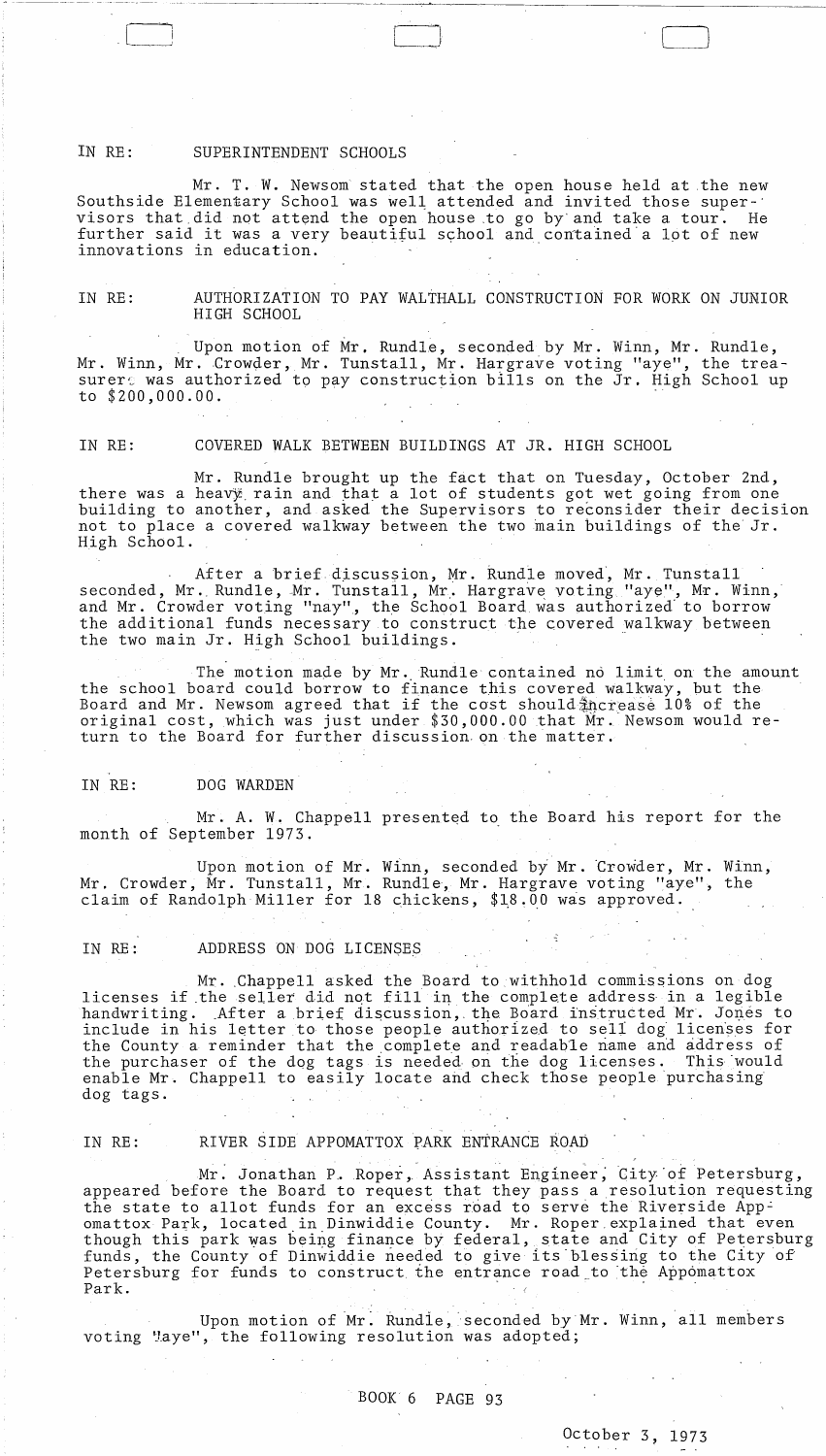#### IN RE: SUPERINTENDENT SCHOOLS

---~------

Mr. T. W. Newsom stated that the open house held at the new Southside Elementary School was well attended and invited those super-' visors that did not attend the open house to go by and take a tour. He further said it was a very beautiful school and contained a lot of new innovations in education.

 $L_{\rm{max}}$  ) and  $L_{\rm{max}}$  (i.e.  $L_{\rm{max}}$  ) and  $L_{\rm{max}}$  (i.e.  $L_{\rm{max}}$  ) and  $L_{\rm{max}}$ 

IN RE: AUTHORIZATION TO PAY WALTHALL CONSTRUCTION FOR WORK ON JUNIOR HIGH SCHOOL

Upon motion of Mr. Rundle, seconded by Mr. Winn, Mr. Rundle, Mr. Winn, Mr. Crowder, Mr. Tunstall, Mr. Hargrave voting "aye", the treasurer, was authorized to pay construction bills on the Jr. High School up to \$200,000.00.

IN RE: COVERED WALK BETWEEN BUILDINGS AT JR. HIGH SCHOOL

Mr. Rundle brought up the fact that on Tuesday, October 2nd, there was a heavy rain and that a lot of students got wet going from one building to another, and asked the Supervisors to reconsider their decision not to place a covered walkway between the two main buildings of the Jr. High School.

After a brief discussion, Mr. Rundle moved, Mr. Tunstall seconded, Mr. Rundle, Mr. Tunstall, Mr. Hargrave voting "aye", Mr. Winn, and Mr. Crowder voting "nay", the School Board was authorized to borrow the additional funds necessary to construct the covered walkway between<br>the two main Jr. High School buildings.

The motion made by Mr. Rundle contained no limit on the amount the school board could borrow to finance this covered walkway, but the Board and Mr. Newsom agreed that if the cost should increase 10% of the original cost, which was just under \$30,000.00 that Mr. Newsom would return to the Board for further discussion. on the matter.

#### IN RE: DOG WARDEN

Mr. A. W. Chappell presented to the Board his report for the month of September 1973.

Upon motion of Mr. Winn, seconded by Mr. Crowder, Mr. Winn, Mr. Crowder, Mr. Tunstall, Mr. Rundle, Mr. Hargrave voting "aye", the claim of Randolph Miller for 18 chickens,  $$18.00$  was approved.

#### IN RE: ADDRESS ON DOG LICENSES

Mr. Chappell asked the Board to withhold commissions on dog licenses if the seller did not fill in the complete address in a legible handwriting. After a brief discussion, the Board instructed Mr. Jones to include in his letter to those people authorized to sell dog licenses for the County a reminder that the ,complete and readable riame and address of the purchaser of the dog tags is needed on the dog licenses. This would enable Mr. Chappell to easily locate and check those people purchasing dog tags.

#### IN RE: RIVER SIDE APPOMATTOX PARK ENTRANCE ROAD

Mr. Jonathan P. Roper, Assistant Engineer, City of Petersburg, appeared before the Board to request that they pass a resolution requesting the state to allot funds for an excess road to serve the Riverside Appomattox Park, located in Dinwiddie County. Mr. Roper explained that even though this park was being finance by federal, state and City of Petersburg funds, the County of Dinwiddie needed to give its blessing to the City of The County a reminder that the complete and readable name and address<br>the purchaser of the dog tags is needed on the dog licenses. This would<br>gradie Mr. Chappell to easily locate and check those people purchasing<br>dog tags.

Upon motion of Mr. Rundie, seconded by Mr. Winn, all members voting "aye", the following resolution was adopted;

# BOOK 6 PAGE 93

# October 3, 1973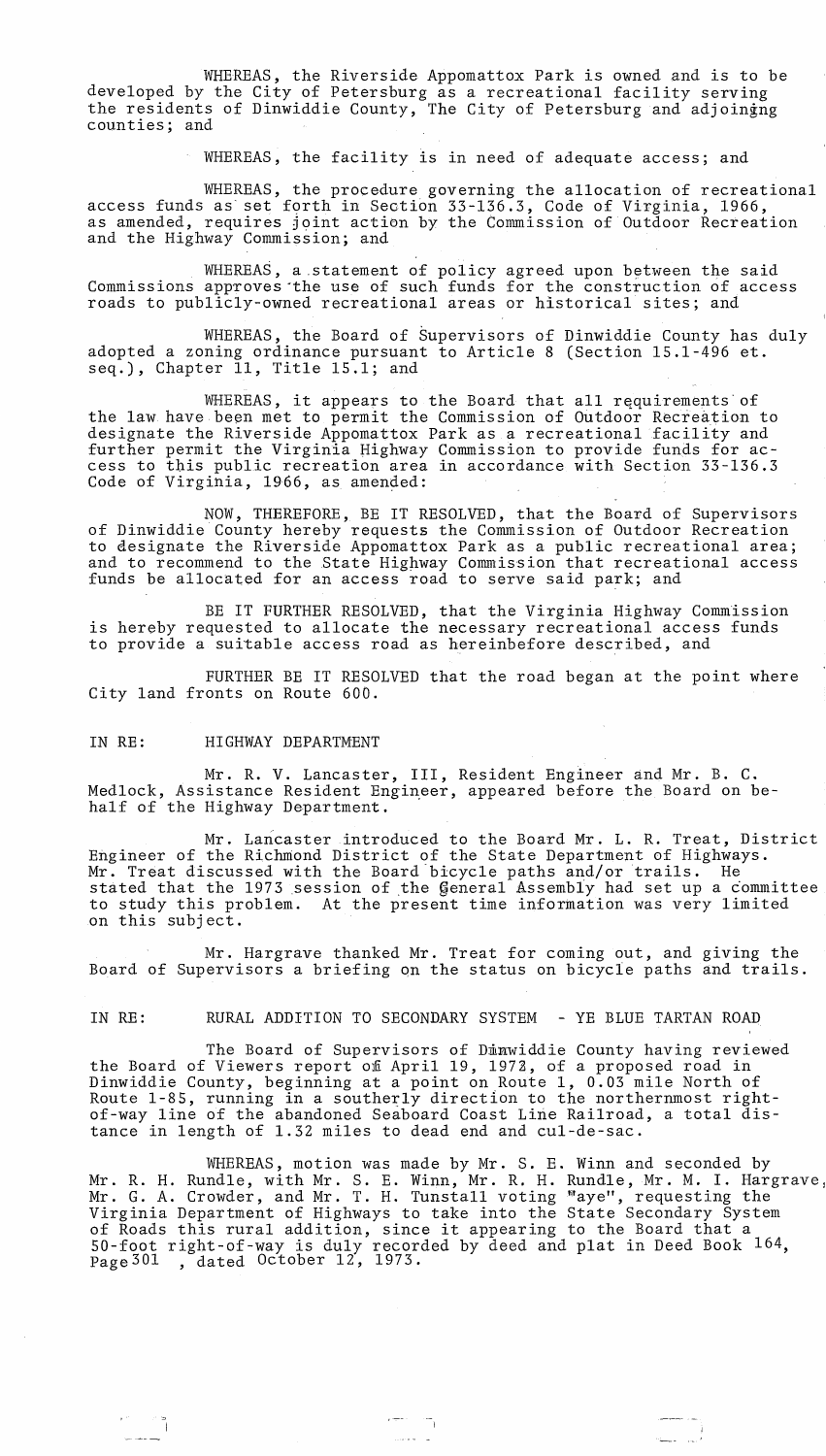WHEREAS, the Riverside Appomattox Park is owned and is to be developed by the City of Petersburg as a recreational facility serving the residents of Dinwiddie County, The City of Petersburg and adjoingng counties; and

WHEREAS, the facility is in need of adequate access; and

WHEREAS, the procedure governing the allocation of recreational access funds as set forth in Section 33-136.3, Code of Virginia, 1966, as amended, requires joint action by the Commission of Outdoor Recreation and the Highway Commission; and

WHEREAS, a statement of policy agreed upon between the said Commissions approves·the use of such funds for the construction of access roads to publicly-owned recreational areas or historical sites; and

WHEREAS, the Board of Supervisors of Dinwiddie County has duly adopted a zoning ordinance pursuant to Article 8 (Section 15.1-496 et. seq.), Chapter 11, Title 15.1; and

WHEREAS, it appears to the Board that all requirements of the law have been met to permit the Commission of Outdoor Recreation to designate the Riverside Appomattox Park as a recreational facility and further permit the Virginia Highway Commission to provide funds for access to tbis public recreation area in accordance with Section 33-136.3 Code of Virginia, 1966, as amended:

NOW, THEREFORE, BE IT RESOLVED, that the Board of Supervisors of Dinwiddie County hereby requests the Commission of Outdoor Recreation to designate the Riverside Appomattox Park as a public recreational area; and to recommend to the State Highway Commission that recreational access funds be allocated for an access road to serve said park; and

BE IT FURTHER RESOLVED, that the Virginia Highway Commission is hereby requested to allocate the necessary recreational access funds to provide a suitable access road as hereinbefore described, and

FURTHER BE IT RESOLVED that the road began at the point where City land fronts on Route 600.

#### IN RE: HIGHWAY DEPARTMENT

Mr. R. V. Lancaster, III, Resident Engineer and Mr. B. C. Medlock, Assistance Resident Engineer, appeared before the Board on behalf of the Highway Department.

Mr. Lancaster introduced to the Board Mr. L. R. Treat, District Engineer of the Richmond District of the State Department of Highways. Mr. Treat discussed with the Board'bicycle paths and/or trails. He stated that the 1973 session of the General Assembly had set up a committee to study this problem. At the present time information was very limited on this subject.

Mr. Hargrave thanked Mr. Treat for coming out, and giving the Board of Supervisors a briefing on the status on bicycle paths and trails.

~ I

IN RE: RURAL ADDITION TO SECONDARY SYSTEM - YE BLUE TARTAN ROAD

The Board of Supervisors of Dimwiddie County having reviewed the Board of Viewers report of April 19, 1972, of a proposed road in Dinwiddie County, beginning at a point on Route 1, 0.03 mile North of Route 1-85, running in a southerly direction to the northernmost rightof-way line of the abandoned Seaboard Coast Line Railroad, a total distance in length of 1.32 miles to dead end and cul-de-sac.

WHEREAS, motion was made by Mr. S. E. Winn and seconded by Mr. R. H. Rundle, with Mr. S. E. Winn, Mr. R. H. Rundle, Mr. M. I. Hargrave, Mr. G. A. Crowder, and Mr. T. H. Tunstall voting "aye", requesting the Virginia Department of Highways to take into the State Secondary System of Roads this rural addition, since it appearing to the Board that a 50-foot right-of-way is duly recorded by deed and plat in Deed Book 164, 30-100t light-01-way is duly lecord<br>Page<sup>301</sup>, dated October 12, 1973.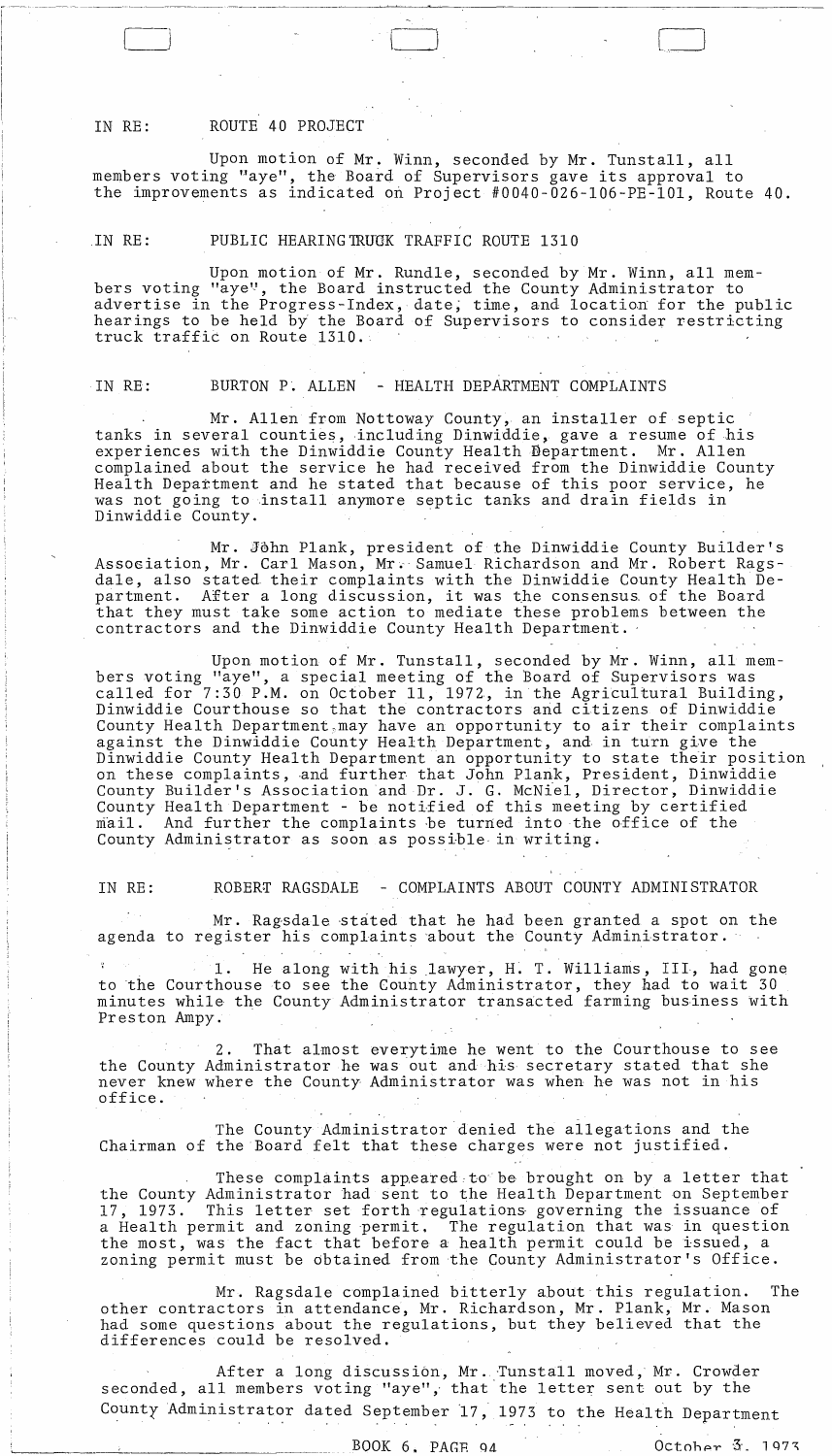### IN RE: ROUTE 40 PROJECT

Upon motion of Mr. Winn, seconded by Mr. Tunstall, all members voting "aye", the Board of Supervisors gave its approval to the improvements as indicated on Project #0040-026-l06-PE-lOl, Route 40.

### IN RE: PUBLIC HEARINGTRUCK TRAFFIC ROUTE 1310

Upon motion of Mr. Rundle, seconded by Mr. Winn, all members voting "aye", the Board instructed the County Administrator to advertise in the Progress-Index, date, time, and location for the public hearings to be held by the Board of Supervisors to consider restricting truck traffic on Route 1310.

#### IN RE: BURTON P. ALLEN - HEALTH DEPARTMENT COMPLAINTS

Mr. Allen from Nottoway County, an installer of septic tanks in several counties,including Dinwiddie, gave a resume of his experiences with the Dinwiddie County Health Department. Mr. Allen complained about the service he had received from the Dinwiddie County Health Department and he stated that because of this poor service, he was not going to install anymore septic tanks and drain fields in Dinwiddie County. .

Mr. John Plank, president of the Dinwiddie County Builder's Association, Mr. Carl Mason, Mr. Samuel Richardson and Mr. Robert Ragsdale, also stated their complaints with the Dinwiddie County Health Department. After a long discussion, it was the consensus, of the Board that they must take some action to mediate these problems between the contractors and the Dinwiddie County Health Department. -

Upon motion of Mr. Tunstall, seconded by Mr. Winn, all members voting "aye", a special meeting of the Board of Supervisors was called for 7:30 P.M. on October 11, 1972, in the Agricultural Building, Dinwiddie Courthouse so that the contractors and citizens of Dinwiddie County Health Department, may have an opportunity to air their complaints against the Dinwiddie County Health Department, and in turn give the Dinwiddie County Health Department an opportunity to state their position on these complaints, and further that John Plank, President, Dinwiddie County Builder's Association and Dr. J. G. McNiel, Director, Dinwiddie County Health Department - be notified of this meeting by certified mail. And further the complaints be turned into the office of the County Administrator as soon as possible in writing.

### IN RE: ROBERT RAGSDALE - COMPLAINTS ABOUT COUNTY ADMINISTRATOR

Mr. Ragsdale -stated that he had been granted a spot on the agenda to register his complaints 'about the County Administrator.

1. He along with his lawyer, H. T. Williams, III, had gone to the Courthouse to see the County Administrator, they had to wait 30 minutes while the County Administrator transacted farming business with Preston Ampy.

2. That almost everytime he went to the Courthouse to see the County Administrator he was out and his secretary stated that she never knew where the County Administrator was when he was not in his office.

The County Administrator denied the allegations and the Chairman of the Board felt that these charges were not justified.

These complaints appeared:to'be brought on by a letter that the County Administrator had sent to the Health Department on September 17, 1973. This letter set forth regulations governing the issuance of a Health permit and zoning permit. The regulation that was in question the most, was the fact that before a health permit could be issued, a zoning permit must be obtained from the County Administrator's Office.

Mr. Ragsdale complained bitterly about this regulation. The other contractors in attendance, Mr. Richardson, Mr. Plank, Mr. Mason had some questions about the regulations, but they believed that the differences could be resolved.

After a long discussion, Mr. Tunstall moved, Mr. Crowder seconded, all members voting "aye", that'the letter sent out by the County Administrator dated September 17, 1973 to the Health Department

BOOK 6. PAGE 94 0 Ctober 3. 1973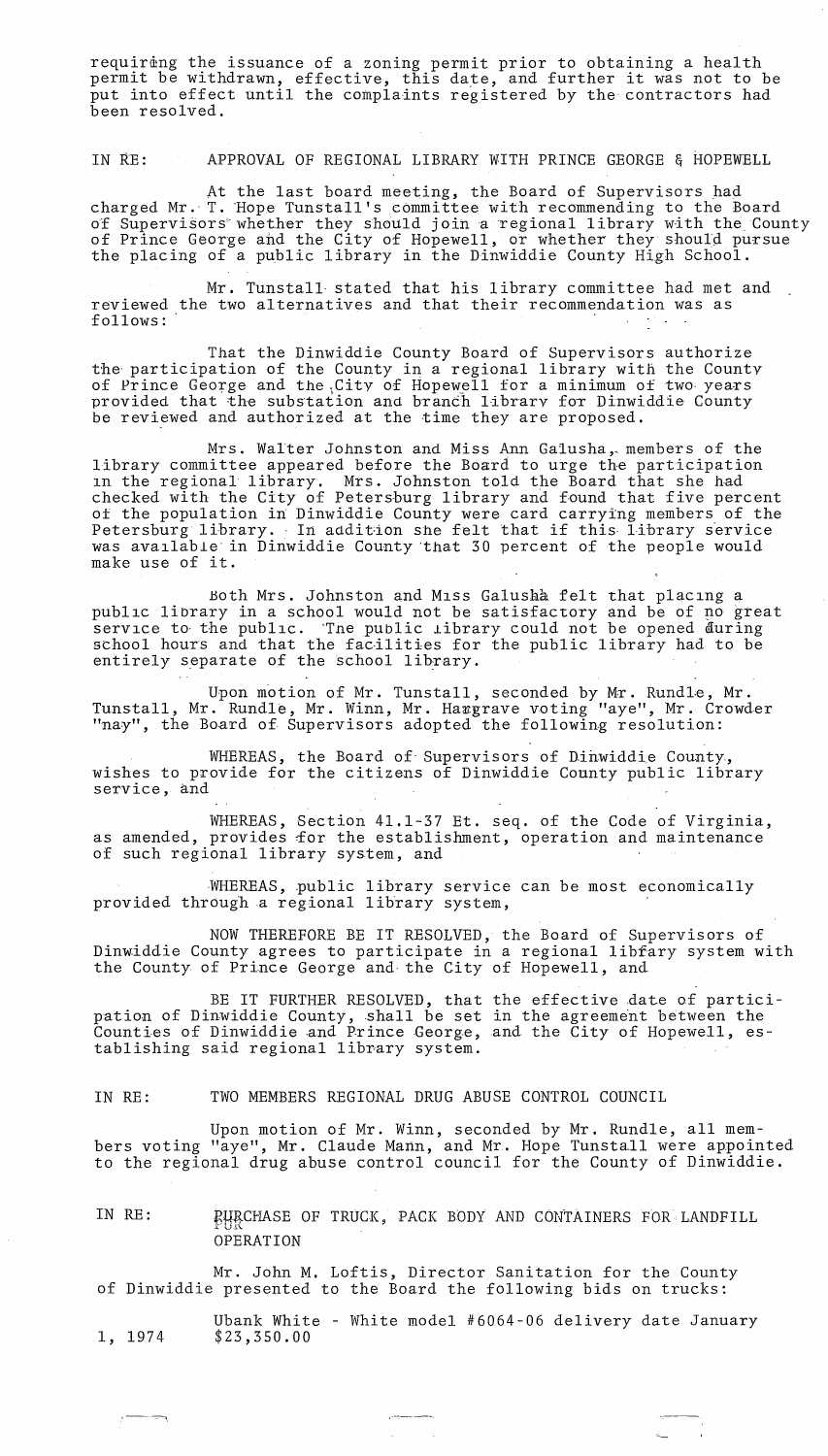requiring the issuance of a zoning permit prior to obtaining a health permit be withdrawn, effective, this date, and further it was not to be put into effect until the complaints registered by the contractors had been resolved.

IN RE: APPROVAL OF REGIONAL LIBRARY WITH PRINCE GEORGE & HOPEWELL

At the last board meeting, the Board of Supervisors had charged Mr. T. Hope Tunstall's committee with recommending to the Board of Supervisors whether they should join a regional library with the County of Prince George ahd the City of Hopewell, or whether they should pursue the placing of a public library in the Dinwiddie County High School.

Mr. Tunstall- stated that his library committee had met and reviewed the two alternatives and that their recommendation was as follows:

That the Dinwiddie County Board of Supervisors authorize the' participation of the County in a regional library with the County of Prince George and the City of Hopewell for a minimum of two years provided that the substation and branch library for Dinwiddie County be reviewed and authorized at the time they are proposed.

Mrs. Walter Johnston and Miss Ann Galusha,. members of the library committee appeared before the Board to urge the participation ln the regional library. Mrs. Johnston told the Board that she had checked with the City of Petersburg library and found that five percent of the population in Dinwiddie County were card carrying members of the Petersburg library. In addition she felt that if this library service was available in Dinwiddie County that 30 percent of the people would make use of it.

Both Mrs. Johnston and Miss Galusha felt that placing a public library in a school would not be satisfactory and be of no great service to the public. The public library could not be opened during school hours and that the facilities for the public library had to be entirely separate of the school library.

Upon motion of Mr. Tunstall, seconded by Mr. Rundle, Mr. Tunstall, Mr. Rundle, Mr. Winn, Mr. Hargrave voting "aye", Mr. Crowder "nay", the Board of Supervisors adopted the following resolution:

WHEREAS, the Board of Supervisors of Dinwiddie County. wishes to provide for the citizens of Dinwiddie County public library service, and

WHEREAS, Section 41.1-37 Et. seq. of the Code of Virginia, as amended, provides for the establishment, operation and maintenance of such regional library system, and

MHEREAS, public library service can be most economically provided through a regional library system,

NOW THEREFORE BE IT RESOLVED, the Board of Supervisors of Dinwiddie County agrees to participate in a regional libfary system with the County of Prince George and the City of Hopewell, and

BE IT FURTHER RESOLVED, that the effective date of participation of Dinwiddie County, shall be set in the agreement between the Counties of Dinwiddie and Prince George, and the City of Hopewell, establishing said regional library system.

IN RE: TWO MEMBERS REGIONAL DRUG ABUSE CONTROL COUNCIL

Upon motion of Mr. Winn, seconded by Mr. Rundle, all members voting "aye", Mr. Claude Mann, and Mr. Hope Tunstall were appointed to the regional drug abuse control council for the County of Dinwiddie.

IN RE: PURCHASE OF TRUCK, PACK BODY AND CONTAINERS FOR LANDFILL OPERATION

Mr. John M. Loftis, Director Sanitation for the County of Dinwiddie presented to the Board the following bids on trucks:

I-~----'

.\_-

~,

1, 1974 Ubank White - White model #6064-06 delivery date January \$23,350.00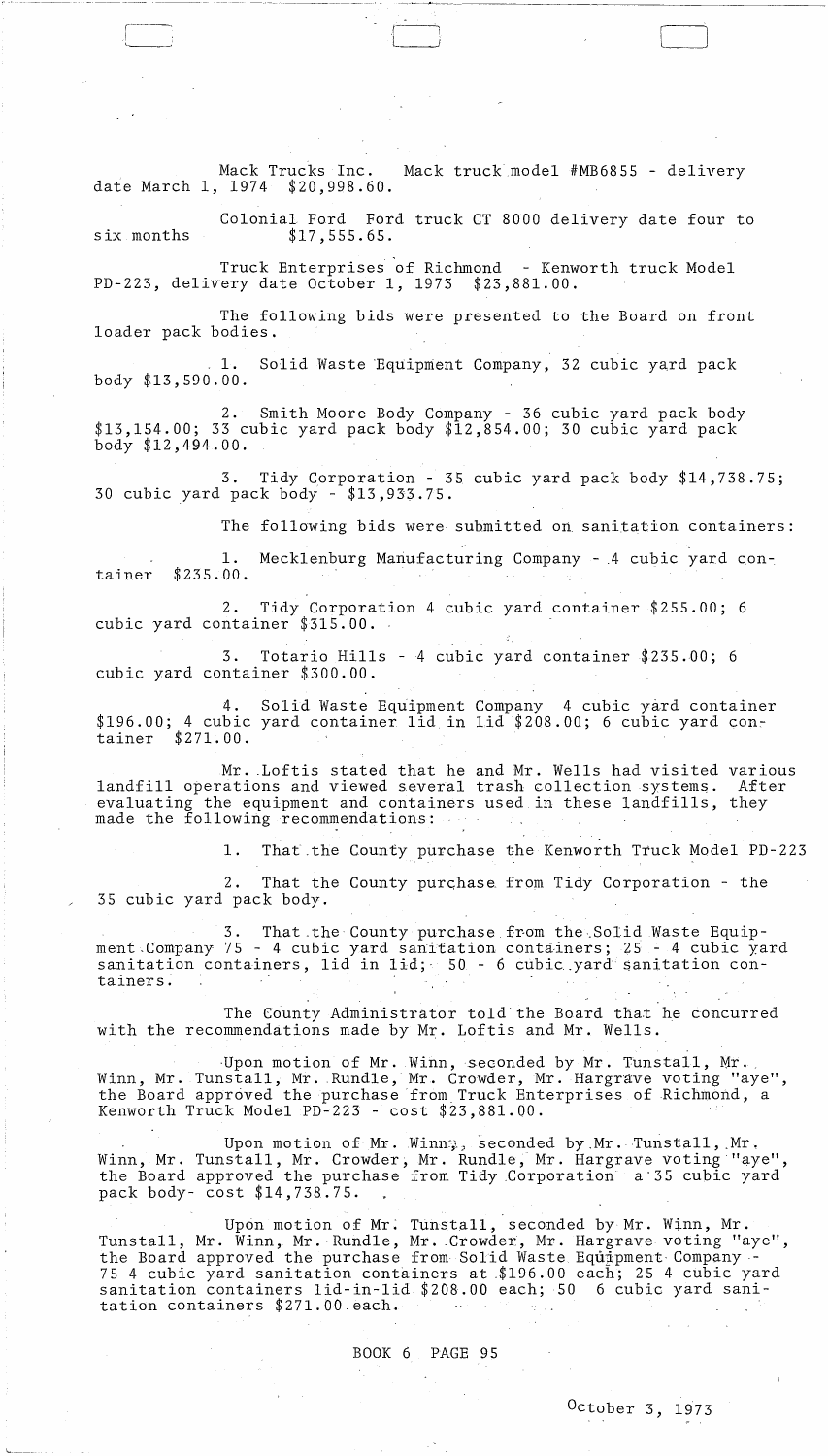Mack Trucks Inc. Mack truck model #MB6855 - delivery date March 1, 1974 \$20,998.60.

).

~I *r-----.,* 

 $\overline{r}$ 

six months Colonial Ford Ford truck CT 8000 delivery date four to \$17,555.65.

Truck Enterprises of Richmond - Kenworth truck Model PD-223, delivery date October 1, 1973.

The following bids were presented to the Board on front loader pack bodies .

1. Solid Waste Equipment Company, 32 cubic yard pack body \$13,590.00.

2. Smith Moore Body Company - 36 cubic yard pack body \$13,154.00; 33 cubic yard pack body \$12,854.00; 30 cubic yard pack body \$12,494.00.

3. Tidy Corporation - 35 cubic yard pack body \$14,738.75; 30 cubic yard pack body - \$13,933.75.

The following bids were submitted on sanitation containers:

·--.~ .. ----.-- -----------------------

1. Mecklenburg Manufacturing Company - 4 cubic yard container \$235.00.

2. Tidy Corporation 4 cubic yard container \$255.00; 6 cubic yard container \$315.00. -

3. Totario Hills - 4 cubic yard container \$235.DO; 6 cubic yard container \$300.00.

4. Solid Waste Equipment Company 4 cubic yard container  $$196.00;$  4 cubic yard container lid in lid  $$208.00;$  6 cubic yard container \$271.00.

Mr. Loftis stated that he and Mr. Wells had visited various landfill operations and viewed several trash collection systems. After evaluating the equipment and containers used in these landfills, they made the following recommendations:

**1.** That.the County purchase the Kenworth Truck Model PD-223

2. That the County purchase from Tidy Corporation - the 35 cubic yard pack body.

3. That the County purchase from the Solid Waste Equipment Company 75 - 4 cubic yard sanitation containers; 25 - 4 cubic yard sanitation containers, lid in lid; 50 - 6 cubic yard sanitation consanitation containers, its in fig. 50 o can<br>tainers.

The County Administrator told'the Board that he concurred with the recommendations made by Mr. Loftis and Mr. Wells.

Upon motion of Mr. Winn, seconded by Mr. Tunstall, Mr. Winn, Mr. Tunstall, Mr. Rundle, Mr. Crowder, Mr. Hargrave voting "aye", the Board approved the purchase from. Truck Enterprises of Richmond, a Kenworth Truck Model PD-223 - cost \$23,881.00.

Upon motion of Mr. Winn; seconded by Mr. Tunstall, Mr. Winn, Mr. Tunstall, Mr. Crowder, Mr. Rundle, Mr. Hargrave voting "aye", the Board approved the purchase from Tidy .Corporation a'35 cubic yard pack body- cost \$14,738.75.

Upon motion of Mr; Tunstall, seconded by Mr. Winn, Mr. Tunstall, Mr. Winn, Mr. Rundle, Mr. Crowder, Mr. Hargrave voting "aye", the Board approved the purchase from Solid Waste Equipment Company -75 4 cubic yard sanitation containers at .\$196.00 each; 25 4 cubic yard sanitation containers lid-in-lid \$208.00 each; 50 6 cubic yard sanitation containers \$27l.0Q.each.  $\mathcal{L}^{\mathcal{L}}$  , where  $\mathcal{L}^{\mathcal{L}}$  and  $\mathcal{L}^{\mathcal{L}}$  ,  $\mathcal{L}^{\mathcal{L}}$  ,  $\mathcal{L}^{\mathcal{L}}$  ,  $\mathcal{L}^{\mathcal{L}}$  $\sim 220\,$  km s  $^{-1}$ 

BOOK 6 PAGE 95

l.\_~\_.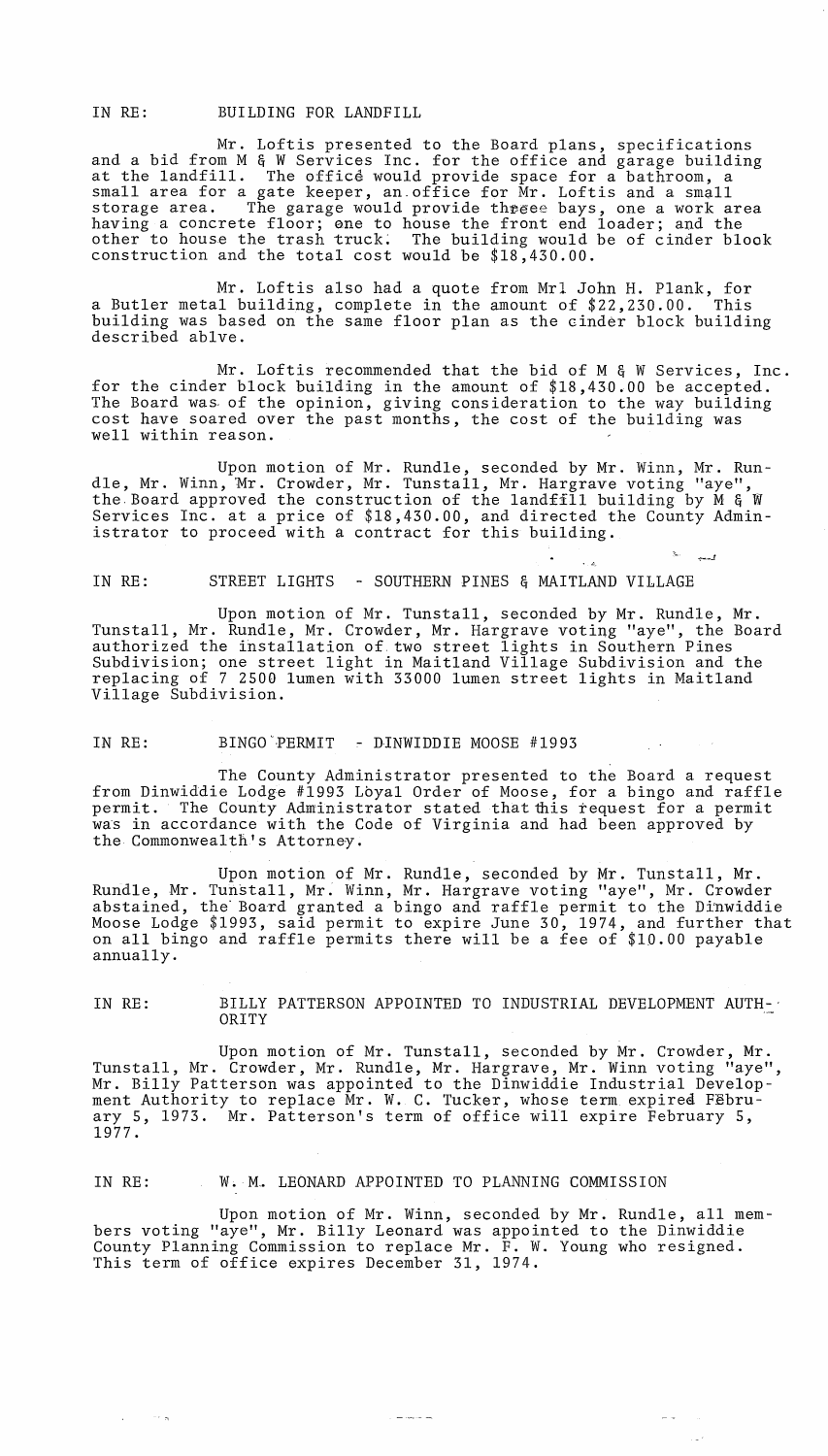IN RE: BUILDING FOR LANDFILL

Mr. Loftis presented to the Board plans, specifications and a bid from M & W Services Inc. for the office and garage building at the landfill. The office would provide space for a bathroom, a small area for a gate keeper, an office for Mr. Loftis and a small storage area. The garage would provide threee bays, one a work area having a concrete floor; one to house the front end loader; and the other to house the trash truck: The building would be of cinder blook construction and the total cost would be \$18,430.00.

Mr. Loftis also had a quote from Mrl John H. Plank, for a Butler metal building, complete in the amount of \$22,230.00. This building was based on the same floor plan as the cinder block building described ablve.

Mr. Loftis recommended that the bid of M & W Services, Inc. for the cinder block building in the amount of \$18,43D.00 be accepted. The Board was of the opinion, giving consideration to the way building cost have soared over the past months, the cost of the building was well within reason.

Upon motion of Mr. Rundle, seconded by Mr. Winn, Mr. RundIe, Mr. Winn, 'Mr. Crowder, Mr. Tunstall, Mr. Hargrave voting "aye", the, Board approved the construction of the landfill building by M & W Services Inc. at a price of \$18,430.00, and directed the County Administrator to proceed with a contract for this building.

'- ~\_.J

 $\cdot$  ,  $\phi_{\rm s}$ 

IN RE: STREET LIGHTS - SOUTHERN PINES & MAITLAND VILLAGE

Upon motion of Mr. Tunstall, seconded by Mr. Rundle, Mr. Tunstall, Mr. Rundle, Mr. Crowder, Mr. Hargrave voting "aye", the Board authorized the installation of, two street lights in Southern Pines Subdivision; one street light in Maitland Village Subdivision and the replacing of 7 2500 lumen with 33000 lumen street lights in Maitland Village Subdivision.

IN RE: BINGO PERMIT - DINWIDDIE MOOSE #1993

The County Administrator presented to the Board a request from Dinwiddie Lodge #1993 Lbyal Order of Moose, for a bingo and raffle permit. The County Administrator stated that this request for a permit was in accordance with the Code of Virginia and had been approved by the Commonwealth's Attorney.

Upon motion of Mr. Rundle, seconded by Mr. Tunstall, Mr. Rundle, Mr. Tunstall, Mr: Winn, Mr. Hargrave voting "aye", Mr. Crowder abstained, the Board granted a bingo and raffle permit to the Dinwiddie Moose Lodge \$1993, said permit to expire June 30, 1974, and further that on all bingo and raffle permits there will be a fee of \$lD.OO payable annually.

IN RE: BILLY PATTERSON APPOINTED TO INDUSTRIAL DEVELOPMENT AUTH-' ORITY

Upon motion of Mr. Tunstall, seconded by Mr. Crowder, Mr. Tunstall, Mr. Crowder, Mr. Rundle, Mr. Hargrave, Mr. Winn voting "aye", Mr. Billy Patterson was appointed to the Dinwiddie Industrial Development Authority to replace Mr. W. C. Tucker, whose term expired February 5, 1973. Mr. Patterson's term of office will expire February 5, 1977.

#### IN RE: W. M. LEONARD APPOINTED TO PLANNING COMMISSION

 $\alpha$  and  $\beta$  , and  $\alpha$ 

Upon motion of Mr. Winn, seconded by Mr. Rundle, all members voting "aye", Mr. Billy Leonard was appointed to the Dinwiddie County Planning Commission to replace Mr. F. W. Young who resigned. This term of office expires December 31, 1974.

 $\frac{1}{2}$  and  $\frac{1}{2}$  and  $\frac{1}{2}$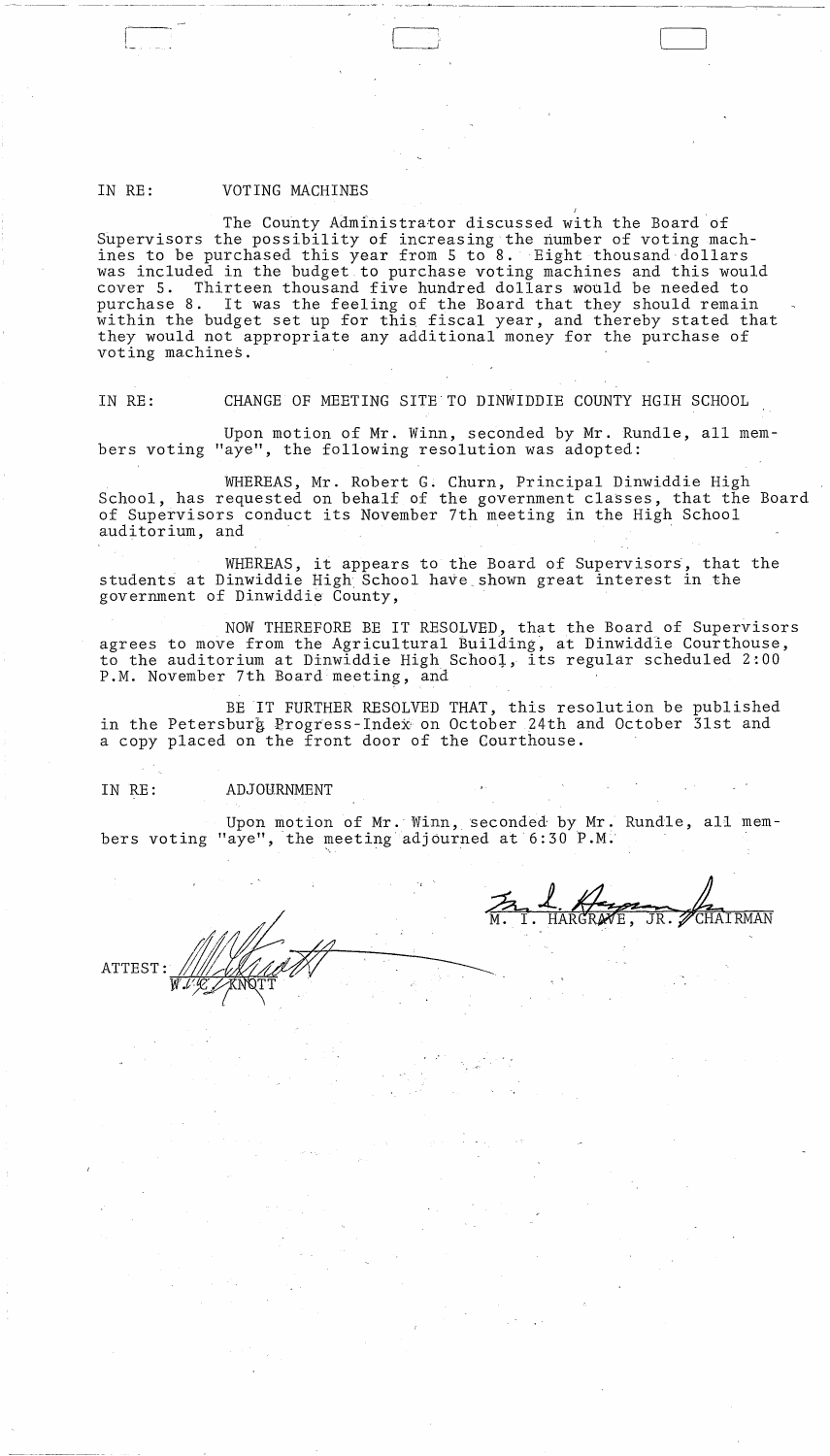## IN RE: VOTING MACHINES

r---

I '-

The County Administrator discussed with the Board of Supervisors the possibility of increasing the number of voting machines to be purchased this year from 5 to 8. Eight thousand dollars was included in the budget to purchase voting machines and this would cover 5. Thirteen thousand five hundred dollars would be needed to cover 5. Thirteen thousand five hundred dollars would be needed to<br>purchase 8. It was the feeling of the Board that they should remai It was the feeling of the Board that they should remain within the budget set up for this fiscal year, and thereby stated that they would not appropriate any additional money for the purchase of voting machines.

----~-~-.-----.. --,-. - ---,.~-~--~.------------- ------------c----

J

IN RE: CHANGE OF MEETING SITE'TO DINWIDDIE COUNTY HGIH SCHOOL

Upon motion of Mr. Winn, seconded by Mr. Rundle, all members voting "aye", the following resolution was adopted:

WHEREAS, Mr. Robert G. Churn, Principal Dinwiddie High School, has requested on behalf of the government classes, that the Board of Supervisors conduct its November 7th meeting in the High School auditorium, and '

WHEREAS, it appears to the Board of Supervisors, that the students at Dinwiddie High, School have\_shown great interest in the government of Dinwiddie County,

NOW THEREFORE BE IT RESOLVED, that the Board of Supervisors agrees to move from the Agricultural Building, at Dinwiddie Courthouse, to the auditorium at Dinwiddie High School, its regular scheduled 2:00 P.M. November 7th Board meeting, and

BE IT FURTHER RESOLVED THAT, this resolution be published in the Petersburg Progress-Index on October 24th and October 31st and a copy placed on the front door of the Courthouse.

#### IN RE: ADJOURNMENT

Upon motion of Mr. Winn, seconded by Mr. Rundle, all members voting "aye", the meeting adjourned at  $6:30$  P.M.

" . .:'

**ATTEST**